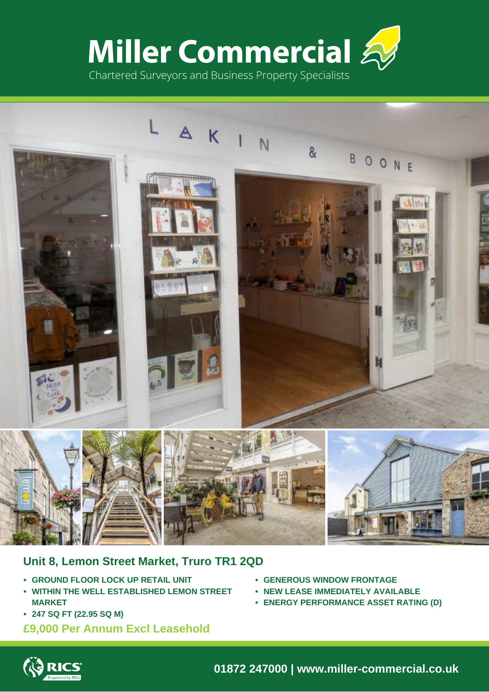



# **Unit 8, Lemon Street Market, Truro TR1 2QD**

- **• GROUND FLOOR LOCK UP RETAIL UNIT**
- **• WITHIN THE WELL ESTABLISHED LEMON STREET MARKET**
- **• 247 SQ FT (22.95 SQ M)**

# **£9,000 Per Annum Excl Leasehold**

- **• GENEROUS WINDOW FRONTAGE**
- **• NEW LEASE IMMEDIATELY AVAILABLE**
- **• ENERGY PERFORMANCE ASSET RATING (D)**



**01872 247000 | www.miller-commercial.co.uk**